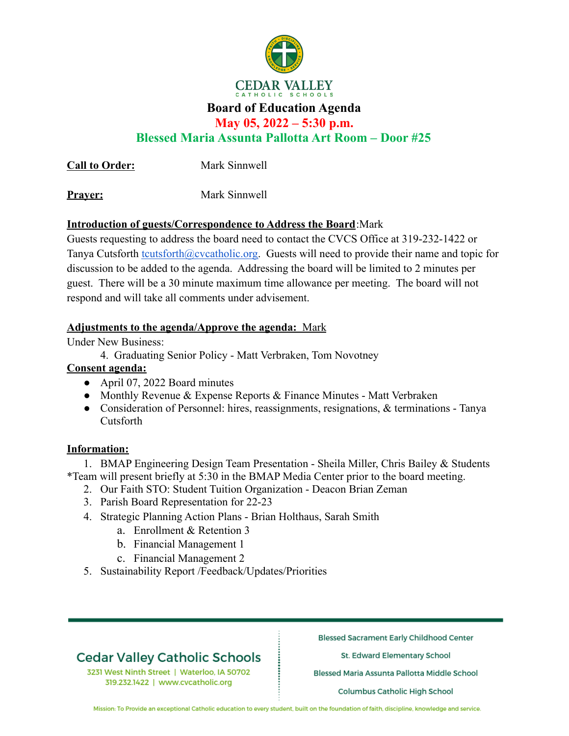

## **Board of Education Agenda**

**May 05, 2022 – 5:30 p.m.**

**Blessed Maria Assunta Pallotta Art Room – Door #25**

**Call to Order:** Mark Sinnwell

**Prayer:** Mark Sinnwell

## **Introduction of guests/Correspondence to Address the Board**:Mark

Guests requesting to address the board need to contact the CVCS Office at 319-232-1422 or Tanya Cutsforth [tcutsforth@cvcatholic.org.](mailto:tcutsforth@cvcatholic.org) Guests will need to provide their name and topic for discussion to be added to the agenda. Addressing the board will be limited to 2 minutes per guest. There will be a 30 minute maximum time allowance per meeting. The board will not respond and will take all comments under advisement.

### **Adjustments to the agenda/Approve the agenda:** Mark

Under New Business:

4. Graduating Senior Policy - Matt Verbraken, Tom Novotney

## **Consent agenda:**

- April 07, 2022 Board minutes
- Monthly Revenue & Expense Reports & Finance Minutes Matt Verbraken
- Consideration of Personnel: hires, reassignments, resignations, & terminations Tanya Cutsforth

## **Information:**

1. BMAP Engineering Design Team Presentation - Sheila Miller, Chris Bailey & Students \*Team will present briefly at 5:30 in the BMAP Media Center prior to the board meeting.

- 2. Our Faith STO: Student Tuition Organization Deacon Brian Zeman
- 3. Parish Board Representation for 22-23
- 4. Strategic Planning Action Plans Brian Holthaus, Sarah Smith
	- a. Enrollment & Retention 3
	- b. Financial Management 1
	- c. Financial Management 2
- 5. Sustainability Report /Feedback/Updates/Priorities

## **Cedar Valley Catholic Schools**

3231 West Ninth Street | Waterloo, IA 50702 319.232.1422 | www.cvcatholic.org

**Blessed Sacrament Early Childhood Center** 

St. Edward Elementary School

Blessed Maria Assunta Pallotta Middle School

Columbus Catholic High School

Mission: To Provide an exceptional Catholic education to every student, built on the foundation of faith, discipline, knowledge and service.